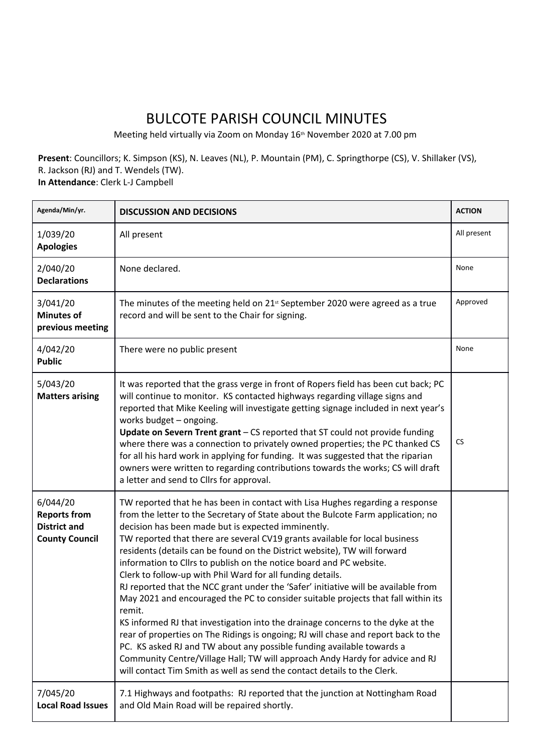## BULCOTE PARISH COUNCIL MINUTES

Meeting held virtually via Zoom on Monday 16<sup>th</sup> November 2020 at 7.00 pm

**Present**: Councillors; K. Simpson (KS), N. Leaves (NL), P. Mountain (PM), C. Springthorpe (CS), V. Shillaker (VS), R. Jackson (RJ) and T. Wendels (TW). **In Attendance**: Clerk L-J Campbell

| Agenda/Min/yr.                                                                  | <b>DISCUSSION AND DECISIONS</b>                                                                                                                                                                                                                                                                                                                                                                                                                                                                                                                                                                                                                                                                                                                                                                                                                                                                                                                                                                                                                                                                                             | <b>ACTION</b> |
|---------------------------------------------------------------------------------|-----------------------------------------------------------------------------------------------------------------------------------------------------------------------------------------------------------------------------------------------------------------------------------------------------------------------------------------------------------------------------------------------------------------------------------------------------------------------------------------------------------------------------------------------------------------------------------------------------------------------------------------------------------------------------------------------------------------------------------------------------------------------------------------------------------------------------------------------------------------------------------------------------------------------------------------------------------------------------------------------------------------------------------------------------------------------------------------------------------------------------|---------------|
| 1/039/20<br><b>Apologies</b>                                                    | All present                                                                                                                                                                                                                                                                                                                                                                                                                                                                                                                                                                                                                                                                                                                                                                                                                                                                                                                                                                                                                                                                                                                 | All present   |
| 2/040/20<br><b>Declarations</b>                                                 | None declared.                                                                                                                                                                                                                                                                                                                                                                                                                                                                                                                                                                                                                                                                                                                                                                                                                                                                                                                                                                                                                                                                                                              | None          |
| 3/041/20<br><b>Minutes of</b><br>previous meeting                               | The minutes of the meeting held on $21st$ September 2020 were agreed as a true<br>record and will be sent to the Chair for signing.                                                                                                                                                                                                                                                                                                                                                                                                                                                                                                                                                                                                                                                                                                                                                                                                                                                                                                                                                                                         | Approved      |
| 4/042/20<br><b>Public</b>                                                       | There were no public present                                                                                                                                                                                                                                                                                                                                                                                                                                                                                                                                                                                                                                                                                                                                                                                                                                                                                                                                                                                                                                                                                                | None          |
| 5/043/20<br><b>Matters arising</b>                                              | It was reported that the grass verge in front of Ropers field has been cut back; PC<br>will continue to monitor. KS contacted highways regarding village signs and<br>reported that Mike Keeling will investigate getting signage included in next year's<br>works budget - ongoing.<br>Update on Severn Trent grant - CS reported that ST could not provide funding<br>where there was a connection to privately owned properties; the PC thanked CS<br>for all his hard work in applying for funding. It was suggested that the riparian<br>owners were written to regarding contributions towards the works; CS will draft<br>a letter and send to Cllrs for approval.                                                                                                                                                                                                                                                                                                                                                                                                                                                   | <b>CS</b>     |
| 6/044/20<br><b>Reports from</b><br><b>District and</b><br><b>County Council</b> | TW reported that he has been in contact with Lisa Hughes regarding a response<br>from the letter to the Secretary of State about the Bulcote Farm application; no<br>decision has been made but is expected imminently.<br>TW reported that there are several CV19 grants available for local business<br>residents (details can be found on the District website), TW will forward<br>information to Cllrs to publish on the notice board and PC website.<br>Clerk to follow-up with Phil Ward for all funding details.<br>RJ reported that the NCC grant under the 'Safer' initiative will be available from<br>May 2021 and encouraged the PC to consider suitable projects that fall within its<br>remit.<br>KS informed RJ that investigation into the drainage concerns to the dyke at the<br>rear of properties on The Ridings is ongoing; RJ will chase and report back to the<br>PC. KS asked RJ and TW about any possible funding available towards a<br>Community Centre/Village Hall; TW will approach Andy Hardy for advice and RJ<br>will contact Tim Smith as well as send the contact details to the Clerk. |               |
| 7/045/20<br><b>Local Road Issues</b>                                            | 7.1 Highways and footpaths: RJ reported that the junction at Nottingham Road<br>and Old Main Road will be repaired shortly.                                                                                                                                                                                                                                                                                                                                                                                                                                                                                                                                                                                                                                                                                                                                                                                                                                                                                                                                                                                                 |               |